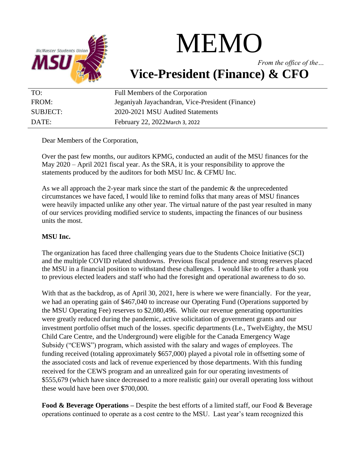

## MEMO

*From the office of the…* **Vice-President (Finance) & CFO**

| TO:      | Full Members of the Corporation                  |
|----------|--------------------------------------------------|
| FROM:    | Jeganiyah Jayachandran, Vice-President (Finance) |
| SUBJECT: | 2020-2021 MSU Audited Statements                 |
| DATE:    | February 22, 2022 March 3, 2022                  |

Dear Members of the Corporation,

Over the past few months, our auditors KPMG, conducted an audit of the MSU finances for the May 2020 – April 2021 fiscal year. As the SRA, it is your responsibility to approve the statements produced by the auditors for both MSU Inc. & CFMU Inc.

As we all approach the 2-year mark since the start of the pandemic & the unprecedented circumstances we have faced, I would like to remind folks that many areas of MSU finances were heavily impacted unlike any other year. The virtual nature of the past year resulted in many of our services providing modified service to students, impacting the finances of our business units the most.

## **MSU Inc.**

The organization has faced three challenging years due to the Students Choice Initiative (SCI) and the multiple COVID related shutdowns. Previous fiscal prudence and strong reserves placed the MSU in a financial position to withstand these challenges. I would like to offer a thank you to previous elected leaders and staff who had the foresight and operational awareness to do so.

With that as the backdrop, as of April 30, 2021, here is where we were financially. For the year, we had an operating gain of \$467,040 to increase our Operating Fund (Operations supported by the MSU Operating Fee) reserves to \$2,080,496. While our revenue generating opportunities were greatly reduced during the pandemic, active solicitation of government grants and our investment portfolio offset much of the losses. specific departments (I.e., TwelvEighty, the MSU Child Care Centre, and the Underground) were eligible for the Canada Emergency Wage Subsidy ("CEWS") program, which assisted with the salary and wages of employees. The funding received (totaling approximately \$657,000) played a pivotal role in offsetting some of the associated costs and lack of revenue experienced by those departments. With this funding received for the CEWS program and an unrealized gain for our operating investments of \$555,679 (which have since decreased to a more realistic gain) our overall operating loss without these would have been over \$700,000.

**Food & Beverage Operations –** Despite the best efforts of a limited staff, our Food & Beverage operations continued to operate as a cost centre to the MSU. Last year's team recognized this